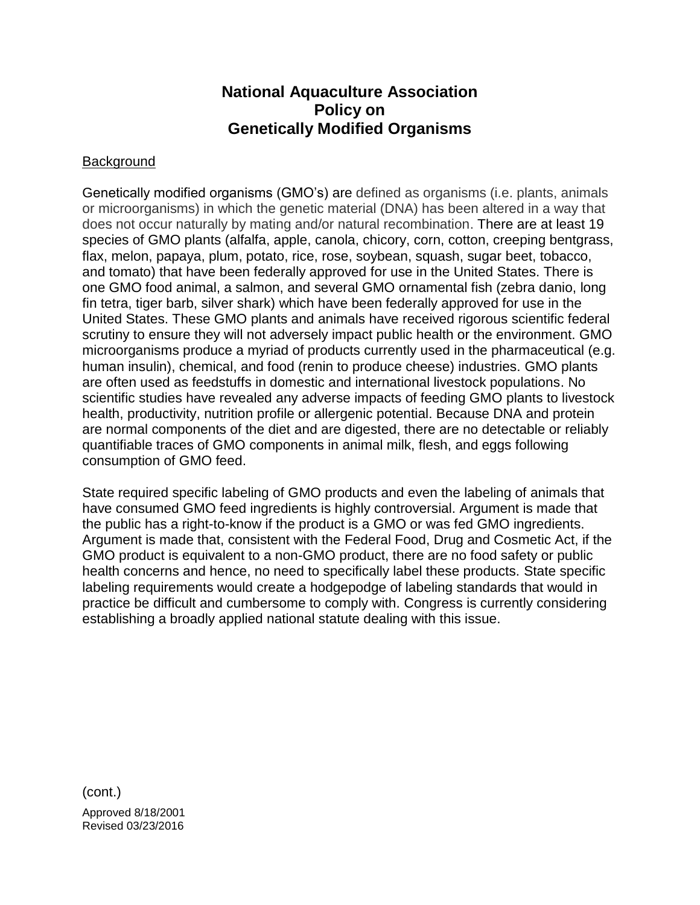## **National Aquaculture Association Policy on Genetically Modified Organisms**

## **Background**

Genetically modified organisms (GMO's) are defined as organisms (i.e. plants, animals or microorganisms) in which the genetic material (DNA) has been altered in a way that does not occur naturally by mating and/or natural recombination. There are at least 19 species of GMO plants (alfalfa, apple, canola, chicory, corn, cotton, creeping bentgrass, flax, melon, papaya, plum, potato, rice, rose, soybean, squash, sugar beet, tobacco, and tomato) that have been federally approved for use in the United States. There is one GMO food animal, a salmon, and several GMO ornamental fish (zebra danio, long fin tetra, tiger barb, silver shark) which have been federally approved for use in the United States. These GMO plants and animals have received rigorous scientific federal scrutiny to ensure they will not adversely impact public health or the environment. GMO microorganisms produce a myriad of products currently used in the pharmaceutical (e.g. human insulin), chemical, and food (renin to produce cheese) industries. GMO plants are often used as feedstuffs in domestic and international livestock populations. No scientific studies have revealed any adverse impacts of feeding GMO plants to livestock health, productivity, nutrition profile or allergenic potential. Because DNA and protein are normal components of the diet and are digested, there are no detectable or reliably quantifiable traces of GMO components in animal milk, flesh, and eggs following consumption of GMO feed.

State required specific labeling of GMO products and even the labeling of animals that have consumed GMO feed ingredients is highly controversial. Argument is made that the public has a right-to-know if the product is a GMO or was fed GMO ingredients. Argument is made that, consistent with the Federal Food, Drug and Cosmetic Act, if the GMO product is equivalent to a non-GMO product, there are no food safety or public health concerns and hence, no need to specifically label these products. State specific labeling requirements would create a hodgepodge of labeling standards that would in practice be difficult and cumbersome to comply with. Congress is currently considering establishing a broadly applied national statute dealing with this issue.

(cont.)

Approved 8/18/2001 Revised 03/23/2016